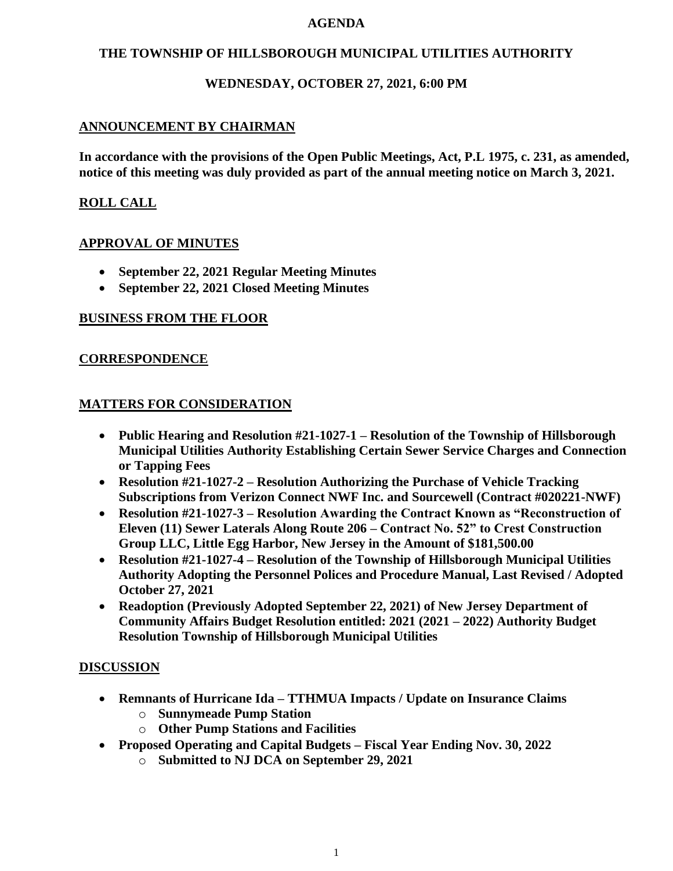#### **AGENDA**

#### **THE TOWNSHIP OF HILLSBOROUGH MUNICIPAL UTILITIES AUTHORITY**

# **WEDNESDAY, OCTOBER 27, 2021, 6:00 PM**

# **ANNOUNCEMENT BY CHAIRMAN**

**In accordance with the provisions of the Open Public Meetings, Act, P.L 1975, c. 231, as amended, notice of this meeting was duly provided as part of the annual meeting notice on March 3, 2021.**

# **ROLL CALL**

#### **APPROVAL OF MINUTES**

- **September 22, 2021 Regular Meeting Minutes**
- **September 22, 2021 Closed Meeting Minutes**

# **BUSINESS FROM THE FLOOR**

#### **CORRESPONDENCE**

#### **MATTERS FOR CONSIDERATION**

- **Public Hearing and Resolution #21-1027-1 – Resolution of the Township of Hillsborough Municipal Utilities Authority Establishing Certain Sewer Service Charges and Connection or Tapping Fees**
- **Resolution #21-1027-2 – Resolution Authorizing the Purchase of Vehicle Tracking Subscriptions from Verizon Connect NWF Inc. and Sourcewell (Contract #020221-NWF)**
- **Resolution #21-1027-3 – Resolution Awarding the Contract Known as "Reconstruction of Eleven (11) Sewer Laterals Along Route 206 – Contract No. 52" to Crest Construction Group LLC, Little Egg Harbor, New Jersey in the Amount of \$181,500.00**
- **Resolution #21-1027-4 – Resolution of the Township of Hillsborough Municipal Utilities Authority Adopting the Personnel Polices and Procedure Manual, Last Revised / Adopted October 27, 2021**
- **Readoption (Previously Adopted September 22, 2021) of New Jersey Department of Community Affairs Budget Resolution entitled: 2021 (2021 – 2022) Authority Budget Resolution Township of Hillsborough Municipal Utilities**

#### **DISCUSSION**

- **Remnants of Hurricane Ida – TTHMUA Impacts / Update on Insurance Claims**
	- o **Sunnymeade Pump Station**
	- o **Other Pump Stations and Facilities**
- **Proposed Operating and Capital Budgets – Fiscal Year Ending Nov. 30, 2022**
	- o **Submitted to NJ DCA on September 29, 2021**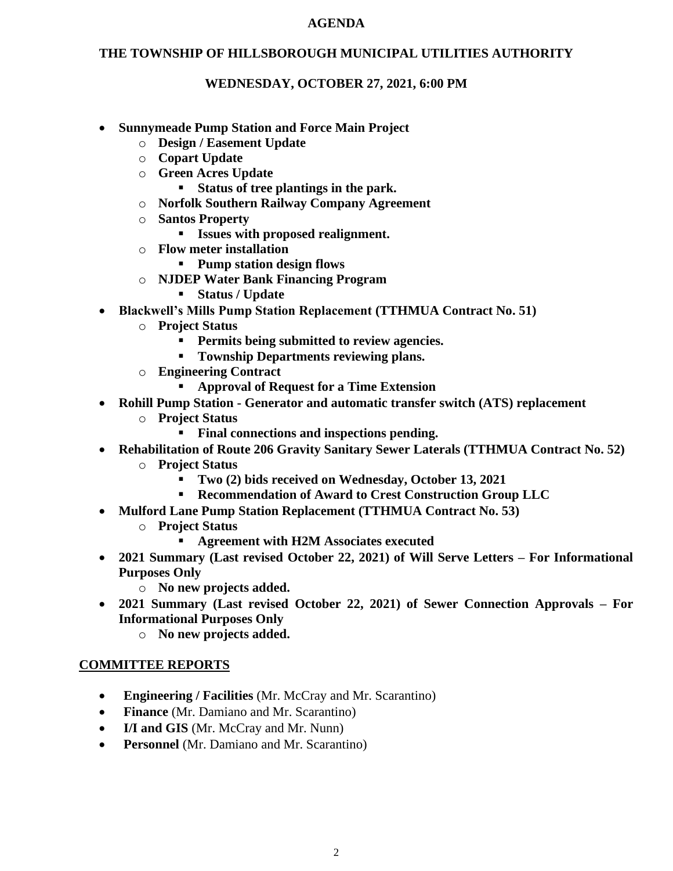#### **AGENDA**

# **THE TOWNSHIP OF HILLSBOROUGH MUNICIPAL UTILITIES AUTHORITY**

# **WEDNESDAY, OCTOBER 27, 2021, 6:00 PM**

- **Sunnymeade Pump Station and Force Main Project**
	- o **Design / Easement Update**
	- o **Copart Update**
	- o **Green Acres Update**
		- **Status of tree plantings in the park.**
	- o **Norfolk Southern Railway Company Agreement**
	- o **Santos Property**
		- **Issues with proposed realignment.**
	- o **Flow meter installation**
		- **Pump station design flows**
	- o **NJDEP Water Bank Financing Program**
		- **Status / Update**
- **Blackwell's Mills Pump Station Replacement (TTHMUA Contract No. 51)**
	- o **Project Status**
		- **Permits being submitted to review agencies.**
		- **Township Departments reviewing plans.**
	- o **Engineering Contract**
		- **Approval of Request for a Time Extension**
- **Rohill Pump Station - Generator and automatic transfer switch (ATS) replacement**
	- o **Project Status**
		- **Final connections and inspections pending.**
- **Rehabilitation of Route 206 Gravity Sanitary Sewer Laterals (TTHMUA Contract No. 52)**
	- o **Project Status**
		- **Two (2) bids received on Wednesday, October 13, 2021**
		- **Recommendation of Award to Crest Construction Group LLC**
- **Mulford Lane Pump Station Replacement (TTHMUA Contract No. 53)**
	- o **Project Status**
		- Agreement with H2M Associates executed
- **2021 Summary (Last revised October 22, 2021) of Will Serve Letters – For Informational Purposes Only**
	- o **No new projects added.**
- **2021 Summary (Last revised October 22, 2021) of Sewer Connection Approvals – For Informational Purposes Only**
	- o **No new projects added.**

# **COMMITTEE REPORTS**

- **Engineering / Facilities** (Mr. McCray and Mr. Scarantino)
- **Finance** (Mr. Damiano and Mr. Scarantino)
- **I/I and GIS** (Mr. McCray and Mr. Nunn)
- **Personnel** (Mr. Damiano and Mr. Scarantino)